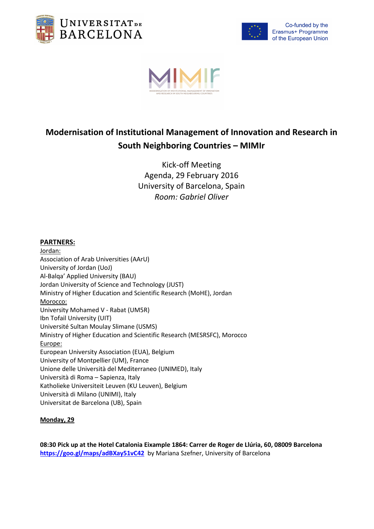



Co-funded by the Erasmus+ Programme of the European Union



# **Modernisation of Institutional Management of Innovation and Research in South Neighboring Countries – MIMIr**

Kick-off Meeting Agenda, 29 February 2016 University of Barcelona, Spain *Room: Gabriel Oliver* 

# **PARTNERS:**

Jordan: Association of Arab Universities (AArU) University of Jordan (UoJ) Al-Balqa' Applied University (BAU) Jordan University of Science and Technology (JUST) Ministry of Higher Education and Scientific Research (MoHE), Jordan Morocco: University Mohamed V - Rabat (UM5R) Ibn Tofail University (UIT) Université Sultan Moulay Slimane (USMS) Ministry of Higher Education and Scientific Research (MESRSFC), Morocco Europe: European University Association (EUA), Belgium University of Montpellier (UM), France Unione delle Università del Mediterraneo (UNIMED), Italy Università di Roma – Sapienza, Italy Katholieke Universiteit Leuven (KU Leuven), Belgium Università di Milano (UNIMI), Italy Universitat de Barcelona (UB), Spain

# **Monday, 29**

**08:30 Pick up at the Hotel Catalonia Eixample 1864: Carrer de Roger de Llúria, 60, 08009 Barcelona https://goo.gl/maps/adBXay51vC42** by Mariana Szefner, University of Barcelona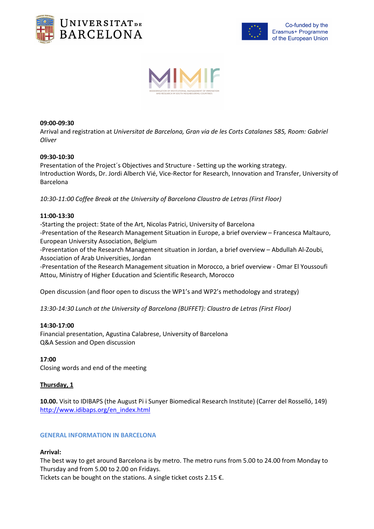





## **09:00-09:30**

Arrival and registration at *Universitat de Barcelona, Gran via de les Corts Catalanes 585, Room: Gabriel Oliver*

## **09:30-10:30**

Presentation of the Project´s Objectives and Structure - Setting up the working strategy. Introduction Words, Dr. Jordi Alberch Vié, Vice-Rector for Research, Innovation and Transfer, University of Barcelona

*10:30-11:00 Coffee Break at the University of Barcelona Claustro de Letras (First Floor)*

## **11:00-13:30**

-Starting the project: State of the Art, Nicolas Patrici, University of Barcelona -Presentation of the Research Management Situation in Europe, a brief overview – Francesca Maltauro, European University Association, Belgium

-Presentation of the Research Management situation in Jordan, a brief overview – Abdullah Al-Zoubi, Association of Arab Universities, Jordan

-Presentation of the Research Management situation in Morocco, a brief overview - Omar El Youssoufi Attou, Ministry of Higher Education and Scientific Research, Morocco

Open discussion (and floor open to discuss the WP1's and WP2's methodology and strategy)

*13:30-14:30 Lunch at the University of Barcelona (BUFFET): Claustro de Letras (First Floor)* 

#### **14:30-17:00**

Financial presentation, Agustina Calabrese, University of Barcelona Q&A Session and Open discussion

#### **17:00**

Closing words and end of the meeting

## **Thursday, 1**

**10.00.** Visit to IDIBAPS (the August Pi i Sunyer Biomedical Research Institute) (Carrer del Rosselló, 149) http://www.idibaps.org/en\_index.html

#### **GENERAL INFORMATION IN BARCELONA**

#### **Arrival:**

The best way to get around Barcelona is by metro. The metro runs from 5.00 to 24.00 from Monday to Thursday and from 5.00 to 2.00 on Fridays.

Tickets can be bought on the stations. A single ticket costs 2.15  $\epsilon$ .